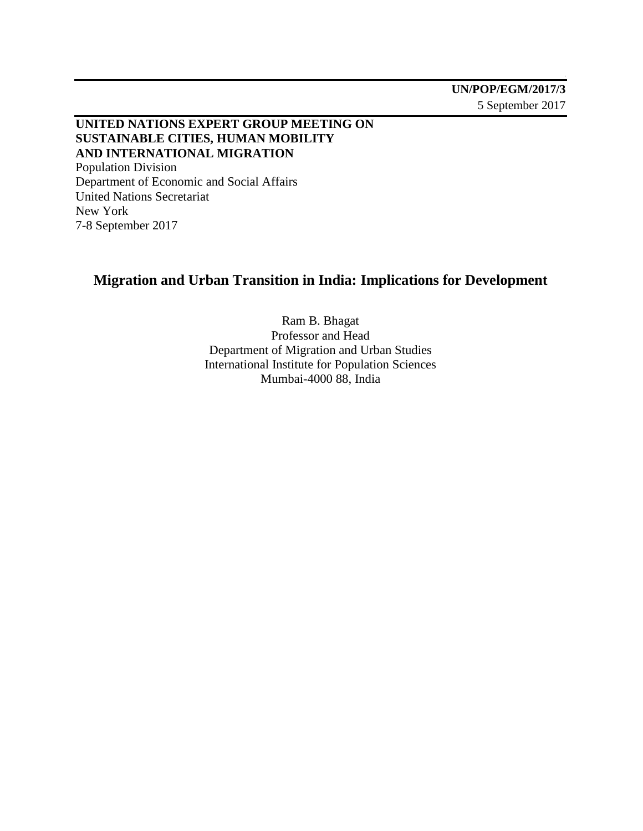### **UNITED NATIONS EXPERT GROUP MEETING ON SUSTAINABLE CITIES, HUMAN MOBILITY AND INTERNATIONAL MIGRATION** Population Division Department of Economic and Social Affairs United Nations Secretariat

New York 7-8 September 2017

# **Migration and Urban Transition in India: Implications for Development**

Ram B. Bhagat Professor and Head Department of Migration and Urban Studies International Institute for Population Sciences Mumbai-4000 88, India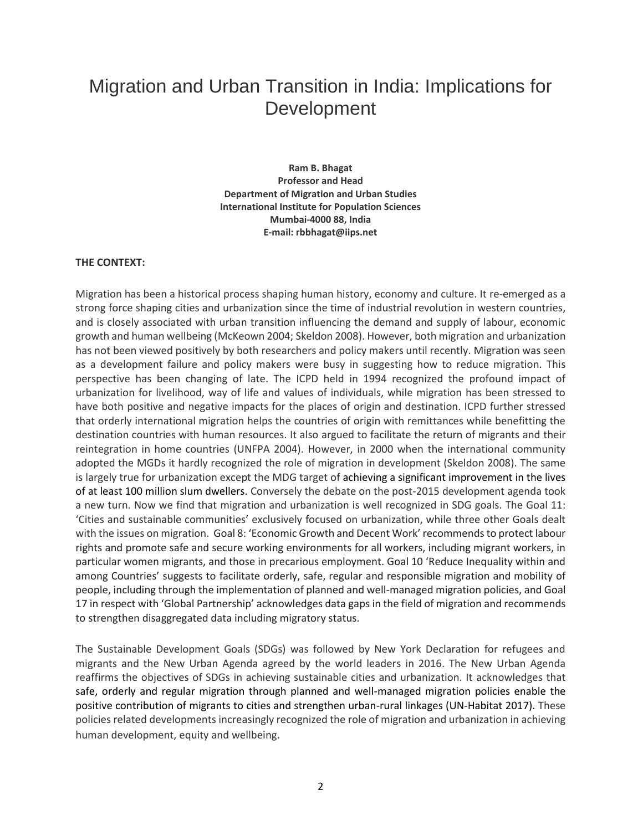# Migration and Urban Transition in India: Implications for Development

**Ram B. Bhagat Professor and Head Department of Migration and Urban Studies International Institute for Population Sciences Mumbai-4000 88, India E-mail: rbbhagat@iips.net**

#### **THE CONTEXT:**

Migration has been a historical process shaping human history, economy and culture. It re-emerged as a strong force shaping cities and urbanization since the time of industrial revolution in western countries, and is closely associated with urban transition influencing the demand and supply of labour, economic growth and human wellbeing (McKeown 2004; Skeldon 2008). However, both migration and urbanization has not been viewed positively by both researchers and policy makers until recently. Migration was seen as a development failure and policy makers were busy in suggesting how to reduce migration. This perspective has been changing of late. The ICPD held in 1994 recognized the profound impact of urbanization for livelihood, way of life and values of individuals, while migration has been stressed to have both positive and negative impacts for the places of origin and destination. ICPD further stressed that orderly international migration helps the countries of origin with remittances while benefitting the destination countries with human resources. It also argued to facilitate the return of migrants and their reintegration in home countries (UNFPA 2004). However, in 2000 when the international community adopted the MGDs it hardly recognized the role of migration in development (Skeldon 2008). The same is largely true for urbanization except the MDG target of achieving a significant improvement in the lives of at least 100 million slum dwellers. Conversely the debate on the post-2015 development agenda took a new turn. Now we find that migration and urbanization is well recognized in SDG goals. The Goal 11: 'Cities and sustainable communities' exclusively focused on urbanization, while three other Goals dealt with the issues on migration. Goal 8: 'Economic Growth and Decent Work' recommends to protect labour rights and promote safe and secure working environments for all workers, including migrant workers, in particular women migrants, and those in precarious employment. Goal 10 'Reduce Inequality within and among Countries' suggests to facilitate orderly, safe, regular and responsible migration and mobility of people, including through the implementation of planned and well-managed migration policies, and Goal 17 in respect with 'Global Partnership' acknowledges data gaps in the field of migration and recommends to strengthen disaggregated data including migratory status.

The Sustainable Development Goals (SDGs) was followed by New York Declaration for refugees and migrants and the New Urban Agenda agreed by the world leaders in 2016. The New Urban Agenda reaffirms the objectives of SDGs in achieving sustainable cities and urbanization. It acknowledges that safe, orderly and regular migration through planned and well-managed migration policies enable the positive contribution of migrants to cities and strengthen urban-rural linkages (UN-Habitat 2017). These policies related developments increasingly recognized the role of migration and urbanization in achieving human development, equity and wellbeing.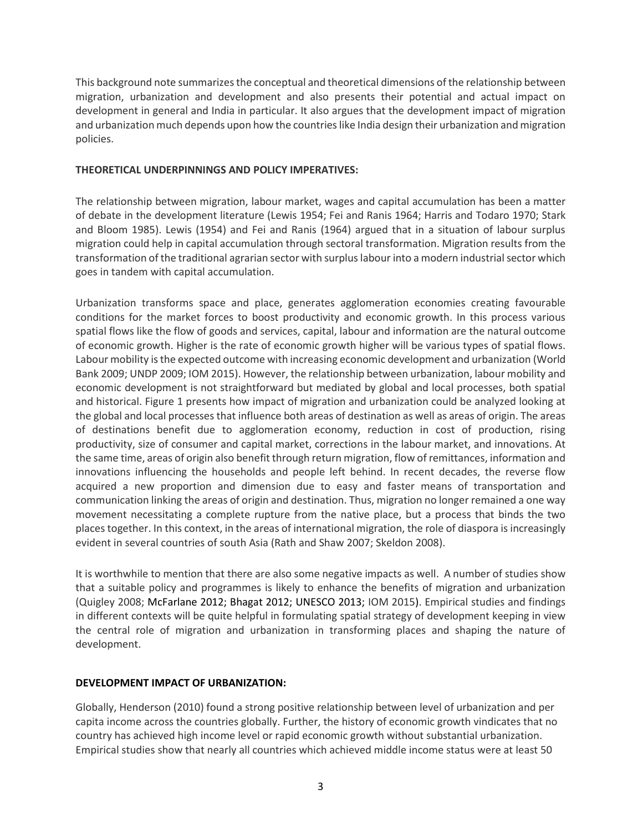This background note summarizes the conceptual and theoretical dimensions of the relationship between migration, urbanization and development and also presents their potential and actual impact on development in general and India in particular. It also argues that the development impact of migration and urbanization much depends upon how the countries like India design their urbanization and migration policies.

#### **THEORETICAL UNDERPINNINGS AND POLICY IMPERATIVES:**

The relationship between migration, labour market, wages and capital accumulation has been a matter of debate in the development literature (Lewis 1954; Fei and Ranis 1964; Harris and Todaro 1970; Stark and Bloom 1985). Lewis (1954) and Fei and Ranis (1964) argued that in a situation of labour surplus migration could help in capital accumulation through sectoral transformation. Migration results from the transformation of the traditional agrarian sector with surplus labour into a modern industrial sector which goes in tandem with capital accumulation.

Urbanization transforms space and place, generates agglomeration economies creating favourable conditions for the market forces to boost productivity and economic growth. In this process various spatial flows like the flow of goods and services, capital, labour and information are the natural outcome of economic growth. Higher is the rate of economic growth higher will be various types of spatial flows. Labour mobility is the expected outcome with increasing economic development and urbanization (World Bank 2009; UNDP 2009; IOM 2015). However, the relationship between urbanization, labour mobility and economic development is not straightforward but mediated by global and local processes, both spatial and historical. Figure 1 presents how impact of migration and urbanization could be analyzed looking at the global and local processes that influence both areas of destination as well as areas of origin. The areas of destinations benefit due to agglomeration economy, reduction in cost of production, rising productivity, size of consumer and capital market, corrections in the labour market, and innovations. At the same time, areas of origin also benefit through return migration, flow of remittances, information and innovations influencing the households and people left behind. In recent decades, the reverse flow acquired a new proportion and dimension due to easy and faster means of transportation and communication linking the areas of origin and destination. Thus, migration no longer remained a one way movement necessitating a complete rupture from the native place, but a process that binds the two places together. In this context, in the areas of international migration, the role of diaspora is increasingly evident in several countries of south Asia (Rath and Shaw 2007; Skeldon 2008).

It is worthwhile to mention that there are also some negative impacts as well. A number of studies show that a suitable policy and programmes is likely to enhance the benefits of migration and urbanization (Quigley 2008; McFarlane 2012; Bhagat 2012; UNESCO 2013; IOM 2015). Empirical studies and findings in different contexts will be quite helpful in formulating spatial strategy of development keeping in view the central role of migration and urbanization in transforming places and shaping the nature of development.

#### **DEVELOPMENT IMPACT OF URBANIZATION:**

Globally, Henderson (2010) found a strong positive relationship between level of urbanization and per capita income across the countries globally. Further, the history of economic growth vindicates that no country has achieved high income level or rapid economic growth without substantial urbanization. Empirical studies show that nearly all countries which achieved middle income status were at least 50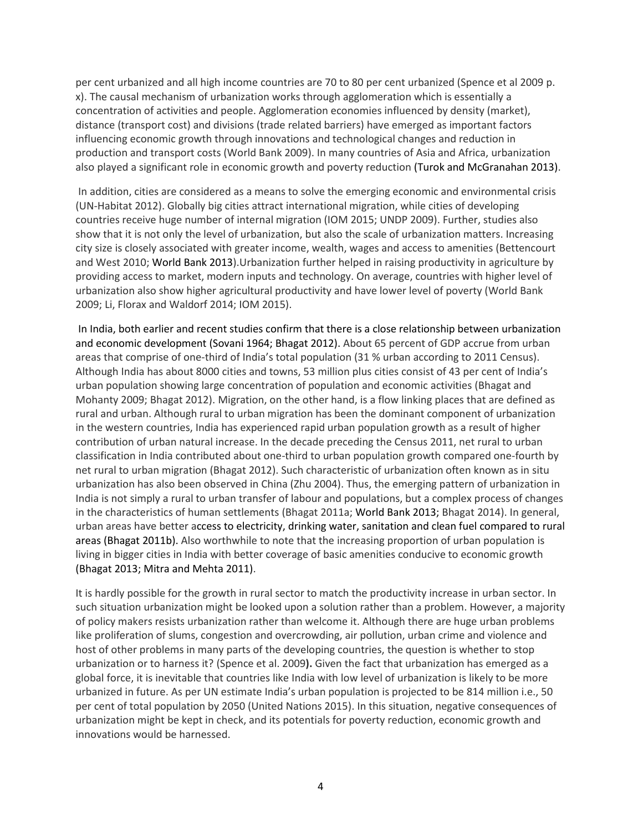per cent urbanized and all high income countries are 70 to 80 per cent urbanized (Spence et al 2009 p. x). The causal mechanism of urbanization works through agglomeration which is essentially a concentration of activities and people. Agglomeration economies influenced by density (market), distance (transport cost) and divisions (trade related barriers) have emerged as important factors influencing economic growth through innovations and technological changes and reduction in production and transport costs (World Bank 2009). In many countries of Asia and Africa, urbanization also played a significant role in economic growth and poverty reduction (Turok and McGranahan 2013).

In addition, cities are considered as a means to solve the emerging economic and environmental crisis (UN-Habitat 2012). Globally big cities attract international migration, while cities of developing countries receive huge number of internal migration (IOM 2015; UNDP 2009). Further, studies also show that it is not only the level of urbanization, but also the scale of urbanization matters. Increasing city size is closely associated with greater income, wealth, wages and access to amenities (Bettencourt and West 2010; World Bank 2013).Urbanization further helped in raising productivity in agriculture by providing access to market, modern inputs and technology. On average, countries with higher level of urbanization also show higher agricultural productivity and have lower level of poverty (World Bank 2009; Li, Florax and Waldorf 2014; IOM 2015).

In India, both earlier and recent studies confirm that there is a close relationship between urbanization and economic development (Sovani 1964; Bhagat 2012). About 65 percent of GDP accrue from urban areas that comprise of one-third of India's total population (31 % urban according to 2011 Census). Although India has about 8000 cities and towns, 53 million plus cities consist of 43 per cent of India's urban population showing large concentration of population and economic activities (Bhagat and Mohanty 2009; Bhagat 2012). Migration, on the other hand, is a flow linking places that are defined as rural and urban. Although rural to urban migration has been the dominant component of urbanization in the western countries, India has experienced rapid urban population growth as a result of higher contribution of urban natural increase. In the decade preceding the Census 2011, net rural to urban classification in India contributed about one-third to urban population growth compared one-fourth by net rural to urban migration (Bhagat 2012). Such characteristic of urbanization often known as in situ urbanization has also been observed in China (Zhu 2004). Thus, the emerging pattern of urbanization in India is not simply a rural to urban transfer of labour and populations, but a complex process of changes in the characteristics of human settlements (Bhagat 2011a; World Bank 2013; Bhagat 2014). In general, urban areas have better access to electricity, drinking water, sanitation and clean fuel compared to rural areas (Bhagat 2011b). Also worthwhile to note that the increasing proportion of urban population is living in bigger cities in India with better coverage of basic amenities conducive to economic growth (Bhagat 2013; Mitra and Mehta 2011).

It is hardly possible for the growth in rural sector to match the productivity increase in urban sector. In such situation urbanization might be looked upon a solution rather than a problem. However, a majority of policy makers resists urbanization rather than welcome it. Although there are huge urban problems like proliferation of slums, congestion and overcrowding, air pollution, urban crime and violence and host of other problems in many parts of the developing countries, the question is whether to stop urbanization or to harness it? (Spence et al. 2009**).** Given the fact that urbanization has emerged as a global force, it is inevitable that countries like India with low level of urbanization is likely to be more urbanized in future. As per UN estimate India's urban population is projected to be 814 million i.e., 50 per cent of total population by 2050 (United Nations 2015). In this situation, negative consequences of urbanization might be kept in check, and its potentials for poverty reduction, economic growth and innovations would be harnessed.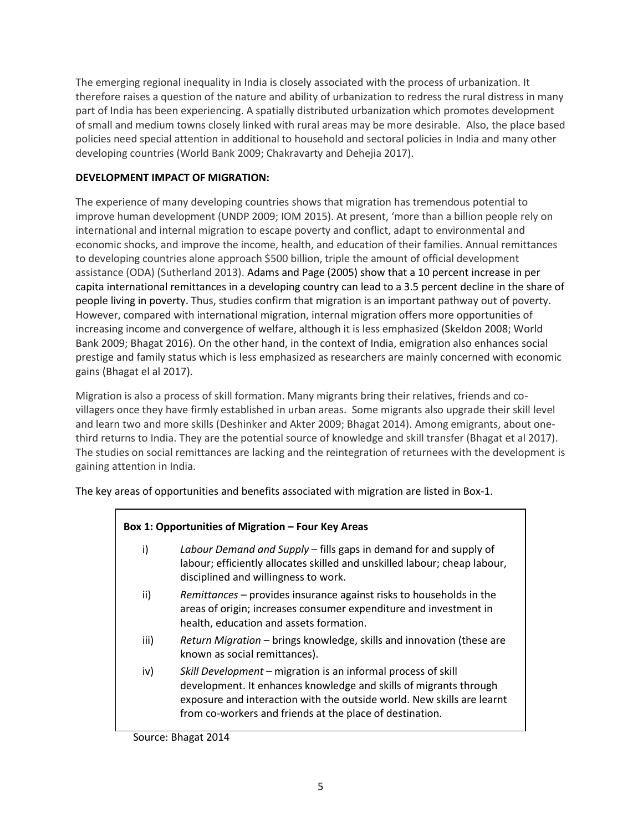The emerging regional inequality in India is closely associated with the process of urbanization. It therefore raises a question of the nature and ability of urbanization to redress the rural distress in many part of India has been experiencing. A spatially distributed urbanization which promotes development of small and medium towns closely linked with rural areas may be more desirable. Also, the place based policies need special attention in additional to household and sectoral policies in India and many other developing countries (World Bank 2009; Chakravarty and Dehejia 2017).

#### **DEVELOPMENT IMPACT OF MIGRATION:**

The experience of many developing countries shows that migration has tremendous potential to improve human development (UNDP 2009; IOM 2015). At present, 'more than a billion people rely on international and internal migration to escape poverty and conflict, adapt to environmental and economic shocks, and improve the income, health, and education of their families. Annual remittances to developing countries alone approach \$500 billion, triple the amount of official development assistance (ODA) (Sutherland 2013). Adams and Page (2005) show that a 10 percent increase in per capita international remittances in a developing country can lead to a 3.5 percent decline in the share of people living in poverty. Thus, studies confirm that migration is an important pathway out of poverty. However, compared with international migration, internal migration offers more opportunities of increasing income and convergence of welfare, although it is less emphasized (Skeldon 2008; World Bank 2009; Bhagat 2016). On the other hand, in the context of India, emigration also enhances social prestige and family status which is less emphasized as researchers are mainly concerned with economic gains (Bhagat el al 2017).

Migration is also a process of skill formation. Many migrants bring their relatives, friends and covillagers once they have firmly established in urban areas. Some migrants also upgrade their skill level and learn two and more skills (Deshinker and Akter 2009; Bhagat 2014). Among emigrants, about onethird returns to India. They are the potential source of knowledge and skill transfer (Bhagat et al 2017). The studies on social remittances are lacking and the reintegration of returnees with the development is gaining attention in India.

The key areas of opportunities and benefits associated with migration are listed in Box-1.

## **Box 1: Opportunities of Migration – Four Key Areas**

- i) *Labour Demand and Supply* fills gaps in demand for and supply of labour; efficiently allocates skilled and unskilled labour; cheap labour, disciplined and willingness to work.
- ii) *Remittances* provides insurance against risks to households in the areas of origin; increases consumer expenditure and investment in health, education and assets formation.
- iii) *Return Migration* brings knowledge, skills and innovation (these are known as social remittances).
- iv) *Skill Development* migration is an informal process of skill development. It enhances knowledge and skills of migrants through exposure and interaction with the outside world. New skills are learnt from co-workers and friends at the place of destination.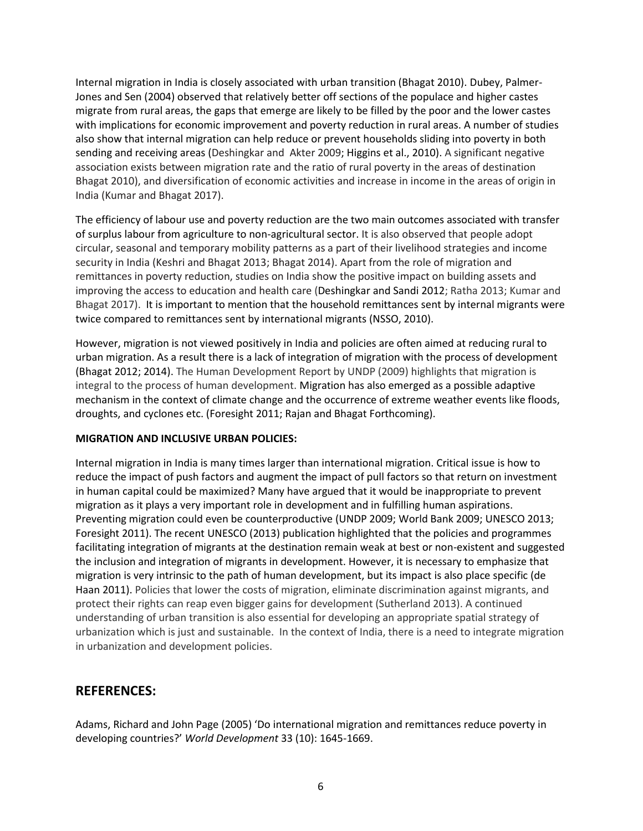Internal migration in India is closely associated with urban transition (Bhagat 2010). Dubey, Palmer-Jones and Sen (2004) observed that relatively better off sections of the populace and higher castes migrate from rural areas, the gaps that emerge are likely to be filled by the poor and the lower castes with implications for economic improvement and poverty reduction in rural areas. A number of studies also show that internal migration can help reduce or prevent households sliding into poverty in both sending and receiving areas (Deshingkar and Akter 2009; Higgins et al., 2010). A significant negative association exists between migration rate and the ratio of rural poverty in the areas of destination Bhagat 2010), and diversification of economic activities and increase in income in the areas of origin in India (Kumar and Bhagat 2017).

The efficiency of labour use and poverty reduction are the two main outcomes associated with transfer of surplus labour from agriculture to non-agricultural sector. It is also observed that people adopt circular, seasonal and temporary mobility patterns as a part of their livelihood strategies and income security in India (Keshri and Bhagat 2013; Bhagat 2014). Apart from the role of migration and remittances in poverty reduction, studies on India show the positive impact on building assets and improving the access to education and health care (Deshingkar and Sandi 2012; Ratha 2013; Kumar and Bhagat 2017). It is important to mention that the household remittances sent by internal migrants were twice compared to remittances sent by international migrants (NSSO, 2010).

However, migration is not viewed positively in India and policies are often aimed at reducing rural to urban migration. As a result there is a lack of integration of migration with the process of development (Bhagat 2012; 2014). The Human Development Report by UNDP (2009) highlights that migration is integral to the process of human development. Migration has also emerged as a possible adaptive mechanism in the context of climate change and the occurrence of extreme weather events like floods, droughts, and cyclones etc. (Foresight 2011; Rajan and Bhagat Forthcoming).

#### **MIGRATION AND INCLUSIVE URBAN POLICIES:**

Internal migration in India is many times larger than international migration. Critical issue is how to reduce the impact of push factors and augment the impact of pull factors so that return on investment in human capital could be maximized? Many have argued that it would be inappropriate to prevent migration as it plays a very important role in development and in fulfilling human aspirations. Preventing migration could even be counterproductive (UNDP 2009; World Bank 2009; UNESCO 2013; Foresight 2011). The recent UNESCO (2013) publication highlighted that the policies and programmes facilitating integration of migrants at the destination remain weak at best or non-existent and suggested the inclusion and integration of migrants in development. However, it is necessary to emphasize that migration is very intrinsic to the path of human development, but its impact is also place specific (de Haan 2011). Policies that lower the costs of migration, eliminate discrimination against migrants, and protect their rights can reap even bigger gains for development (Sutherland 2013). A continued understanding of urban transition is also essential for developing an appropriate spatial strategy of urbanization which is just and sustainable. In the context of India, there is a need to integrate migration in urbanization and development policies.

## **REFERENCES:**

Adams, Richard and John Page (2005) 'Do international migration and remittances reduce poverty in developing countries?' *World Development* 33 (10): 1645-1669.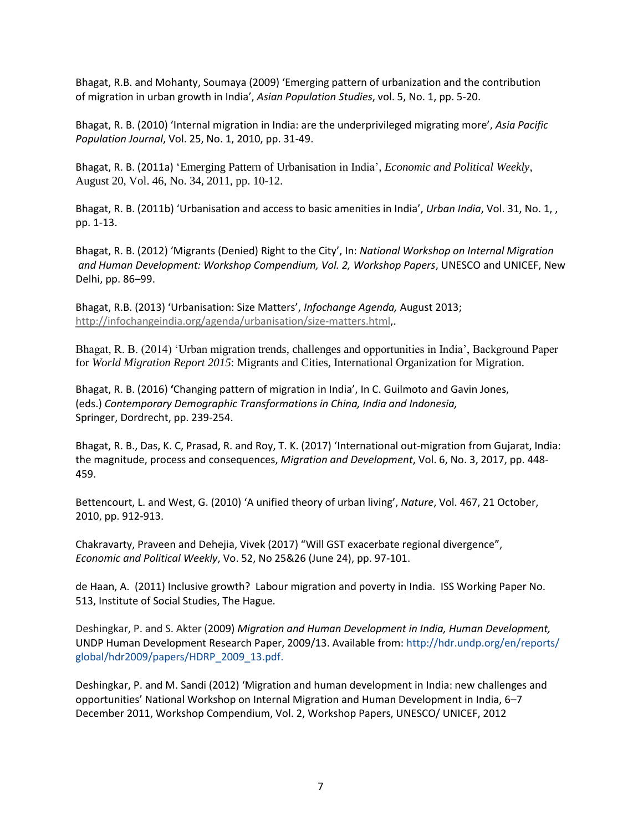Bhagat, R.B. and Mohanty, Soumaya (2009) 'Emerging pattern of urbanization and the contribution of migration in urban growth in India', *Asian Population Studies*, vol. 5, No. 1, pp. 5-20.

Bhagat, R. B. (2010) 'Internal migration in India: are the underprivileged migrating more', *Asia Pacific Population Journal*, Vol. 25, No. 1, 2010, pp. 31-49.

Bhagat, R. B. (2011a) 'Emerging Pattern of Urbanisation in India', *Economic and Political Weekly*, August 20, Vol. 46, No. 34, 2011, pp. 10-12.

Bhagat, R. B. (2011b) 'Urbanisation and access to basic amenities in India', *Urban India*, Vol. 31, No. 1, , pp. 1-13.

Bhagat, R. B. (2012) 'Migrants (Denied) Right to the City', In: *National Workshop on Internal Migration and Human Development: Workshop Compendium, Vol. 2, Workshop Papers*, UNESCO and UNICEF, New Delhi, pp. 86–99.

Bhagat, R.B. (2013) 'Urbanisation: Size Matters', *Infochange Agenda,* August 2013; [http://infochangeindia.org/agenda/urbanisation/size-matters.html,](http://infochangeindia.org/agenda/urbanisation/size-matters.html).

Bhagat, R. B. (2014) 'Urban migration trends, challenges and opportunities in India', Background Paper for *World Migration Report 2015*: Migrants and Cities, International Organization for Migration.

Bhagat, R. B. (2016) **'**Changing pattern of migration in India', In C. Guilmoto and Gavin Jones, (eds.) *Contemporary Demographic Transformations in China, India and Indonesia,*  Springer, Dordrecht, pp. 239-254.

Bhagat, R. B., Das, K. C, Prasad, R. and Roy, T. K. (2017) 'International out-migration from Gujarat, India: the magnitude, process and consequences, *Migration and Development*, Vol. 6, No. 3, 2017, pp. 448- 459.

Bettencourt, L. and West, G. (2010) 'A unified theory of urban living', *Nature*, Vol. 467, 21 October, 2010, pp. 912-913.

Chakravarty, Praveen and Dehejia, Vivek (2017) "Will GST exacerbate regional divergence", *Economic and Political Weekly*, Vo. 52, No 25&26 (June 24), pp. 97-101.

de Haan, A. (2011) Inclusive growth? Labour migration and poverty in India. ISS Working Paper No. 513, Institute of Social Studies, The Hague.

Deshingkar, P. and S. Akter (2009) *Migration and Human Development in India, Human Development,*  UNDP Human Development Research Paper, 2009/13. Available from: http://hdr.undp.org/en/reports/ global/hdr2009/papers/HDRP\_2009\_13.pdf.

Deshingkar, P. and M. Sandi (2012) 'Migration and human development in India: new challenges and opportunities' National Workshop on Internal Migration and Human Development in India, 6–7 December 2011, Workshop Compendium, Vol. 2, Workshop Papers, UNESCO/ UNICEF, 2012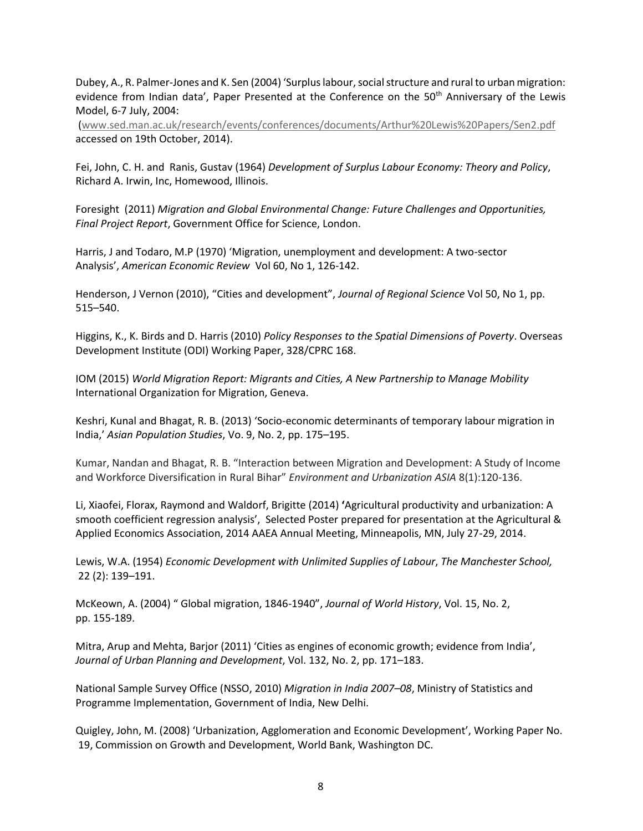Dubey, A., R. Palmer-Jones and K. Sen (2004) 'Surplus labour, social structure and rural to urban migration: evidence from Indian data', Paper Presented at the Conference on the 50<sup>th</sup> Anniversary of the Lewis Model, 6-7 July, 2004:

[\(www.sed.man.ac.uk/research/events/conferences/documents/Arthur%20Lewis%20Papers/Sen2.pdf](http://www.sed.man.ac.uk/research/events/conferences/documents/Arthur%20Lewis%20Papers/Sen2.pdf)  accessed on 19th October, 2014).

Fei, John, C. H. and Ranis, Gustav (1964) *Development of Surplus Labour Economy: Theory and Policy*, Richard A. Irwin, Inc, Homewood, Illinois.

Foresight (2011) *Migration and Global Environmental Change: Future Challenges and Opportunities, Final Project Report*, Government Office for Science, London.

Harris, J and Todaro, M.P (1970) 'Migration, unemployment and development: A two-sector Analysis', *American Economic Review* Vol 60, No 1, 126-142.

Henderson, J Vernon (2010), "Cities and development", *Journal of Regional Science* Vol 50, No 1, pp. 515–540.

Higgins, K., K. Birds and D. Harris (2010) *Policy Responses to the Spatial Dimensions of Poverty*. Overseas Development Institute (ODI) Working Paper, 328/CPRC 168.

IOM (2015) *World Migration Report: Migrants and Cities, A New Partnership to Manage Mobility* International Organization for Migration, Geneva.

Keshri, Kunal and Bhagat, R. B. (2013) 'Socio-economic determinants of temporary labour migration in India,' *Asian Population Studies*, Vo. 9, No. 2, pp. 175–195.

Kumar, Nandan and Bhagat, R. B. "Interaction between Migration and Development: A Study of Income and Workforce Diversification in Rural Bihar" *Environment and Urbanization ASIA* 8(1):120-136.

Li, Xiaofei, Florax, Raymond and Waldorf, Brigitte (2014) **'**Agricultural productivity and urbanization: A smooth coefficient regression analysis', Selected Poster prepared for presentation at the Agricultural & Applied Economics Association, 2014 AAEA Annual Meeting, Minneapolis, MN, July 27-29, 2014.

Lewis, W.A. (1954) *Economic Development with Unlimited Supplies of Labour*, *The Manchester School,* 22 (2): 139–191.

McKeown, A. (2004) " Global migration, 1846-1940", *Journal of World History*, Vol. 15, No. 2, pp. 155-189.

Mitra, Arup and Mehta, Barjor (2011) 'Cities as engines of economic growth; evidence from India', *Journal of Urban Planning and Development*, Vol. 132, No. 2, pp. 171–183.

National Sample Survey Office (NSSO, 2010) *Migration in India 2007–08*, Ministry of Statistics and Programme Implementation, Government of India, New Delhi.

Quigley, John, M. (2008) 'Urbanization, Agglomeration and Economic Development', Working Paper No. 19, Commission on Growth and Development, World Bank, Washington DC.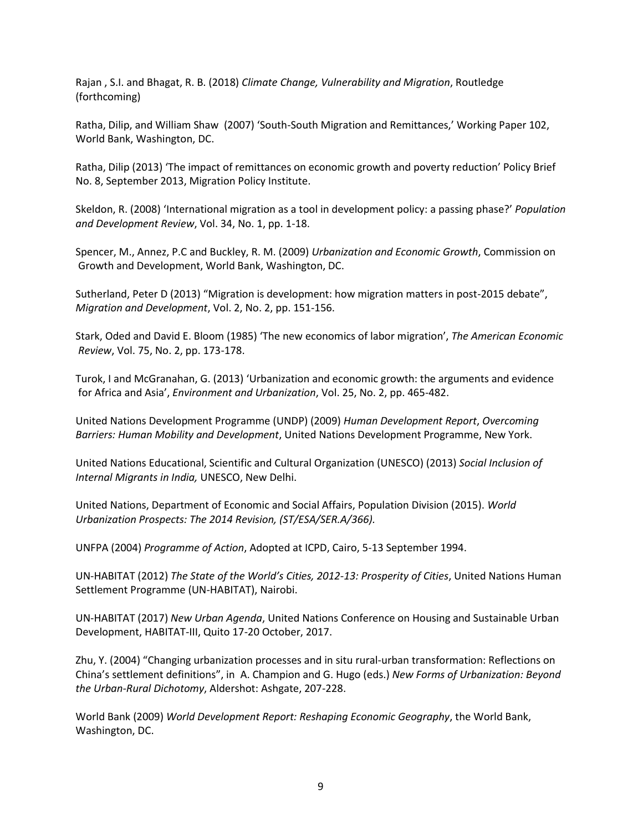Rajan , S.I. and Bhagat, R. B. (2018) *Climate Change, Vulnerability and Migration*, Routledge (forthcoming)

Ratha, Dilip, and William Shaw (2007) 'South-South Migration and Remittances,' Working Paper 102, World Bank, Washington, DC.

Ratha, Dilip (2013) 'The impact of remittances on economic growth and poverty reduction' Policy Brief No. 8, September 2013, Migration Policy Institute.

Skeldon, R. (2008) 'International migration as a tool in development policy: a passing phase?' *Population and Development Review*, Vol. 34, No. 1, pp. 1-18.

Spencer, M., Annez, P.C and Buckley, R. M. (2009) *Urbanization and Economic Growth*, Commission on Growth and Development, World Bank, Washington, DC.

Sutherland, Peter D (2013) "Migration is development: how migration matters in post-2015 debate", *Migration and Development*, Vol. 2, No. 2, pp. 151-156.

Stark, Oded and David E. Bloom (1985) 'The new economics of labor migration', *The American Economic Review*, Vol. 75, No. 2, pp. 173-178.

Turok, I and McGranahan, G. (2013) 'Urbanization and economic growth: the arguments and evidence for Africa and Asia', *Environment and Urbanization*, Vol. 25, No. 2, pp. 465-482.

United Nations Development Programme (UNDP) (2009) *Human Development Report*, *Overcoming Barriers: Human Mobility and Development*, United Nations Development Programme, New York.

United Nations Educational, Scientific and Cultural Organization (UNESCO) (2013) *Social Inclusion of Internal Migrants in India,* UNESCO, New Delhi.

United Nations, Department of Economic and Social Affairs, Population Division (2015). *World Urbanization Prospects: The 2014 Revision, (ST/ESA/SER.A/366).*

UNFPA (2004) *Programme of Action*, Adopted at ICPD, Cairo, 5-13 September 1994.

UN-HABITAT (2012) *The State of the World's Cities, 2012-13: Prosperity of Cities*, United Nations Human Settlement Programme (UN-HABITAT), Nairobi.

UN-HABITAT (2017) *New Urban Agenda*, United Nations Conference on Housing and Sustainable Urban Development, HABITAT-III, Quito 17-20 October, 2017.

Zhu, Y. (2004) "Changing urbanization processes and in situ rural-urban transformation: Reflections on China's settlement definitions", in A. Champion and G. Hugo (eds.) *New Forms of Urbanization: Beyond the Urban-Rural Dichotomy*, Aldershot: Ashgate, 207-228.

World Bank (2009) *World Development Report: Reshaping Economic Geography*, the World Bank, Washington, DC.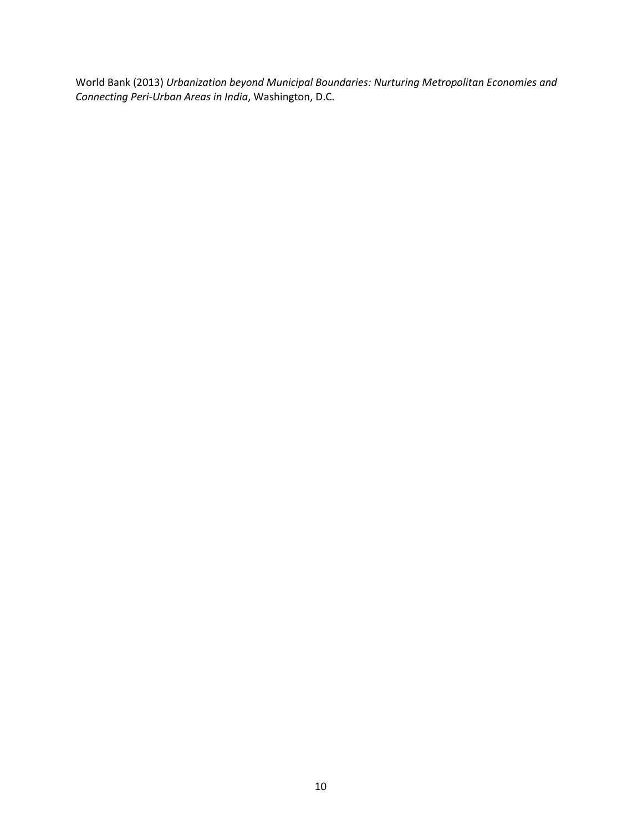World Bank (2013) *Urbanization beyond Municipal Boundaries: Nurturing Metropolitan Economies and Connecting Peri-Urban Areas in India*, Washington, D.C.